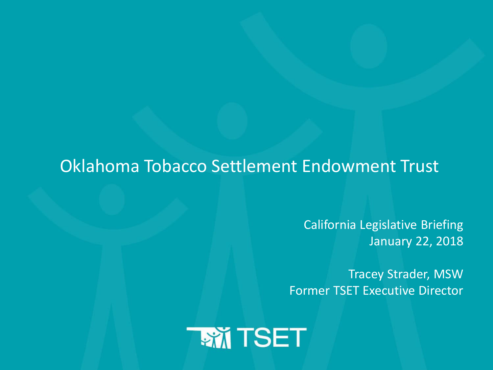### Oklahoma Tobacco Settlement Endowment Trust

California Legislative Briefing January 22, 2018

Tracey Strader, MSW Former TSET Executive Director

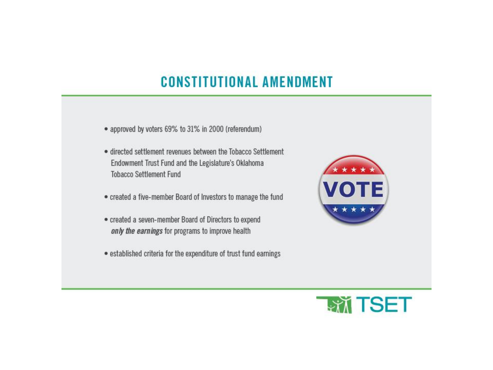## **CONSTITUTIONAL AMENDMENT**

- · approved by voters 69% to 31% in 2000 (referendum)
- · directed settlement revenues between the Tobacco Settlement Endowment Trust Fund and the Legislature's Oklahoma **Tobacco Settlement Fund**
- . created a five-member Board of Investors to manage the fund
- · created a seven-member Board of Directors to expend only the earnings for programs to improve health
- established criteria for the expenditure of trust fund earnings



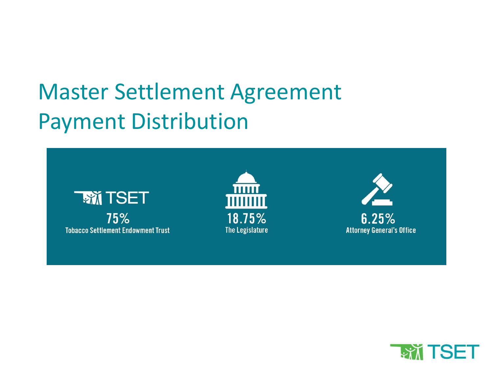# Master Settlement Agreement Payment Distribution



75% **Tobacco Settlement Endowment Trust** 



 $6.25%$ **Attorney General's Office** 

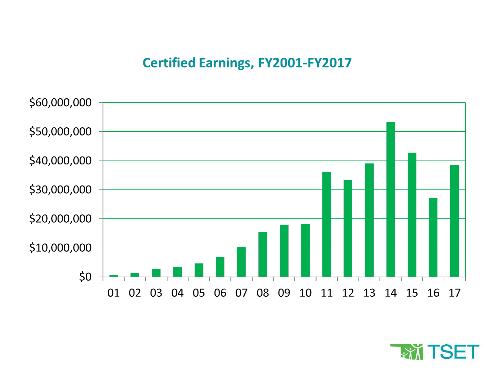#### **Certified Earnings, FY2001-FY2017**



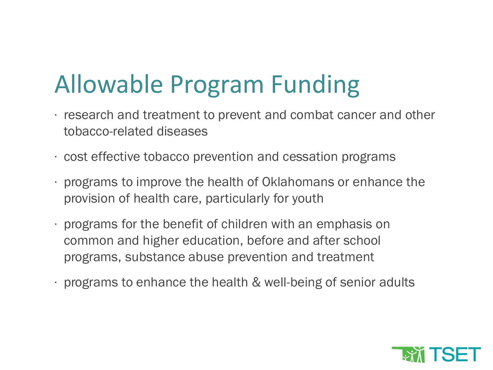# Allowable Program Funding

- ∙ research and treatment to prevent and combat cancer and other tobacco-related diseases
- ∙ cost effective tobacco prevention and cessation programs
- ∙ programs to improve the health of Oklahomans or enhance the provision of health care, particularly for youth
- ∙ programs for the benefit of children with an emphasis on common and higher education, before and after school programs, substance abuse prevention and treatment
- ∙ programs to enhance the health & well-being of senior adults

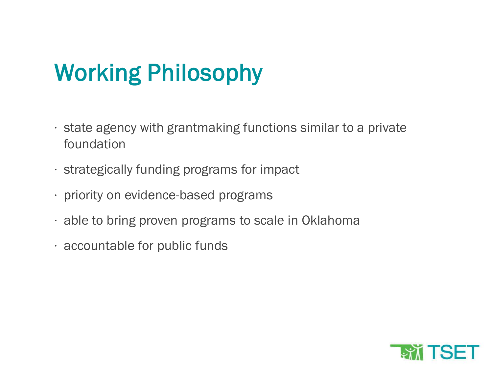# Working Philosophy

- ∙ state agency with grantmaking functions similar to a private foundation
- ∙ strategically funding programs for impact
- ∙ priority on evidence-based programs
- ∙ able to bring proven programs to scale in Oklahoma
- ∙ accountable for public funds

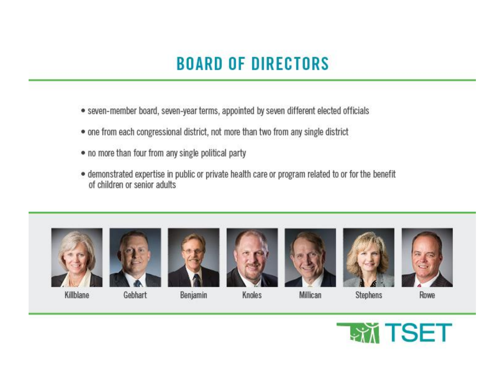## **BOARD OF DIRECTORS**

- · seven-member board, seven-year terms, appointed by seven different elected officials
- one from each congressional district, not more than two from any single district
- . no more than four from any single political party
- · demonstrated expertise in public or private health care or program related to or for the benefit of children or senior adults.





Killblane



Gebhart









**Stephens** 

Rowe





Benjamin

Knoles

Millican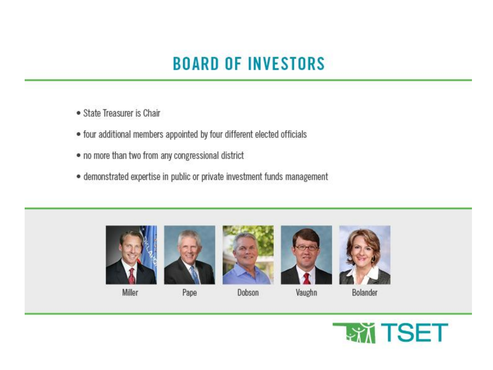## **BOARD OF INVESTORS**

- · State Treasurer is Chair
- . four additional members appointed by four different elected officials
- . no more than two from any congressional district
- · demonstrated expertise in public or private investment funds management



Miller





Dobson



Vaughn





Bolander

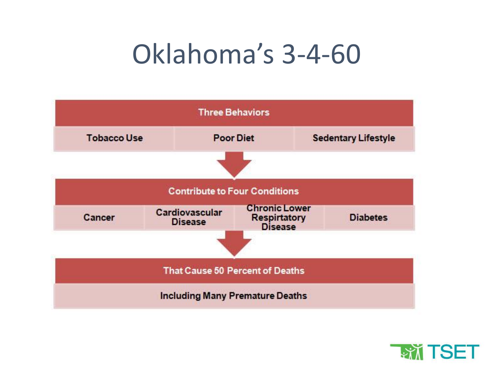# Oklahoma's 3-4-60



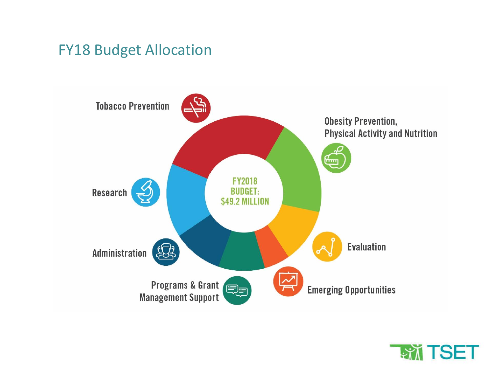### FY18 Budget Allocation



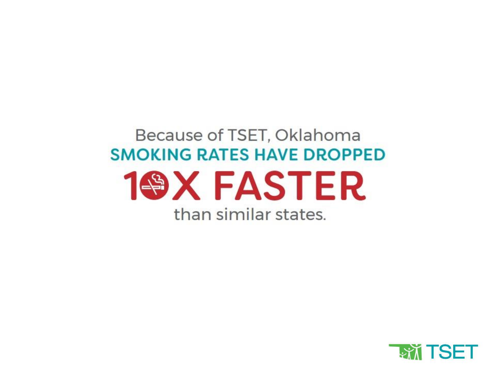## Because of TSET, Oklahoma **SMOKING RATES HAVE DROPPED 1@X FASTER** than similar states.

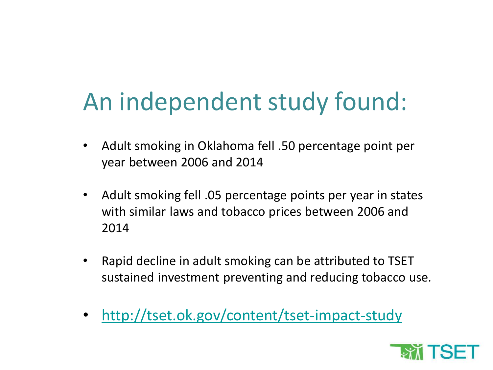# An independent study found:

- Adult smoking in Oklahoma fell .50 percentage point per year between 2006 and 2014
- Adult smoking fell .05 percentage points per year in states with similar laws and tobacco prices between 2006 and 2014
- Rapid decline in adult smoking can be attributed to TSET sustained investment preventing and reducing tobacco use.
- <http://tset.ok.gov/content/tset-impact-study>

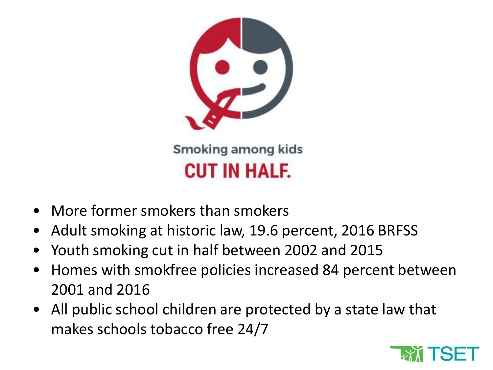

- More former smokers than smokers
- Adult smoking at historic law, 19.6 percent, 2016 BRFSS
- Youth smoking cut in half between 2002 and 2015
- Homes with smokfree policies increased 84 percent between 2001 and 2016
- All public school children are protected by a state law that makes schools tobacco free 24/7

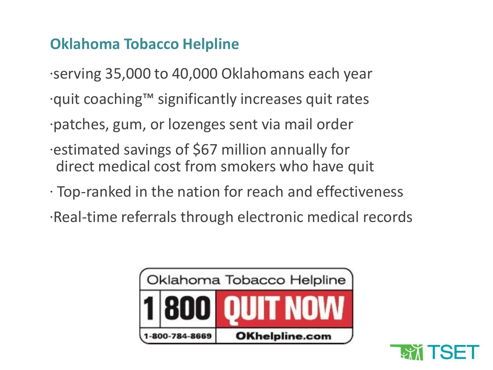### **Oklahoma Tobacco Helpline**

- ∙serving 35,000 to 40,000 Oklahomans each year
- ∙quit coaching™ significantly increases quit rates
- ∙patches, gum, or lozenges sent via mail order
- ∙estimated savings of \$67 million annually for direct medical cost from smokers who have quit
- ∙ Top-ranked in the nation for reach and effectiveness
- ∙Real-time referrals through electronic medical records



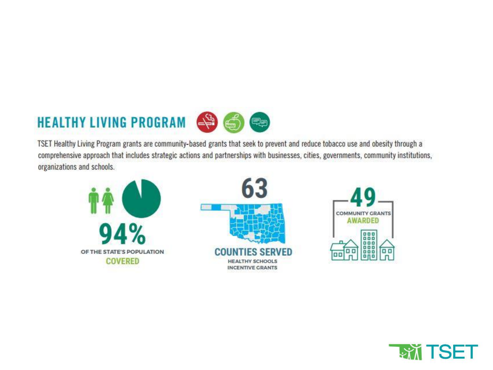## **HEALTHY LIVING PROGRAM**



TSET Healthy Living Program grants are community-based grants that seek to prevent and reduce tobacco use and obesity through a comprehensive approach that includes strategic actions and partnerships with businesses, cities, governments, community institutions, organizations and schools.



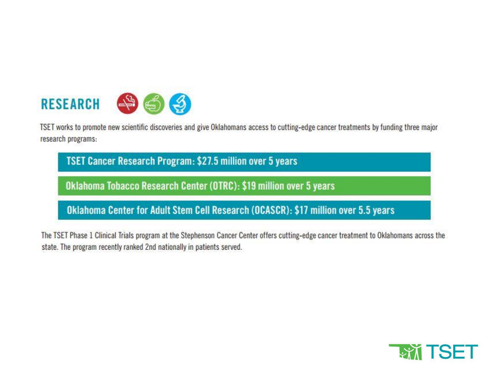

TSET works to promote new scientific discoveries and give Oklahomans access to cutting-edge cancer treatments by funding three major research programs:

TSET Cancer Research Program: \$27.5 million over 5 years

Oklahoma Tobacco Research Center (OTRC): \$19 million over 5 years

Oklahoma Center for Adult Stem Cell Research (OCASCR): \$17 million over 5.5 years

The TSET Phase 1 Clinical Trials program at the Stephenson Cancer Center offers cutting-edge cancer treatment to Oklahomans across the state. The program recently ranked 2nd nationally in patients served.

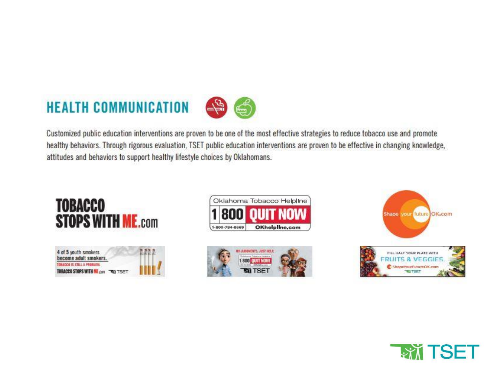## **HEALTH COMMUNICATION**



Customized public education interventions are proven to be one of the most effective strategies to reduce tobacco use and promote healthy behaviors. Through rigorous evaluation, TSET public education interventions are proven to be effective in changing knowledge, attitudes and behaviors to support healthy lifestyle choices by Oklahomans.



4 of 5 youth smokers<br>become adult smokers. DRACCO IS STILL A PROBLEM TOBACCO STOPS WITH WE can TRA TISET









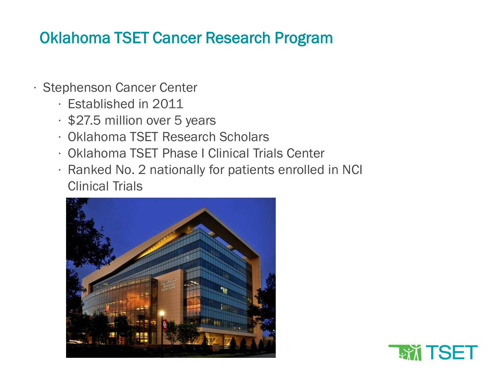### Oklahoma TSET Cancer Research Program

- ∙ Stephenson Cancer Center
	- ∙ Established in 2011
	- ∙ \$27.5 million over 5 years
	- ∙ Oklahoma TSET Research Scholars
	- ∙ Oklahoma TSET Phase I Clinical Trials Center
	- ∙ Ranked No. 2 nationally for patients enrolled in NCI Clinical Trials



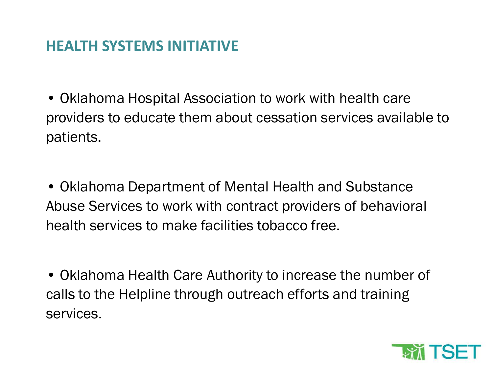#### **HEALTH SYSTEMS INITIATIVE**

• Oklahoma Hospital Association to work with health care providers to educate them about cessation services available to patients.

• Oklahoma Department of Mental Health and Substance Abuse Services to work with contract providers of behavioral health services to make facilities tobacco free.

• Oklahoma Health Care Authority to increase the number of calls to the Helpline through outreach efforts and training services.

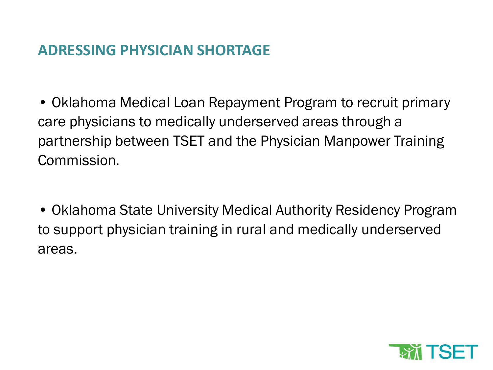#### **ADRESSING PHYSICIAN SHORTAGE**

• Oklahoma Medical Loan Repayment Program to recruit primary care physicians to medically underserved areas through a partnership between TSET and the Physician Manpower Training Commission.

• Oklahoma State University Medical Authority Residency Program to support physician training in rural and medically underserved areas.